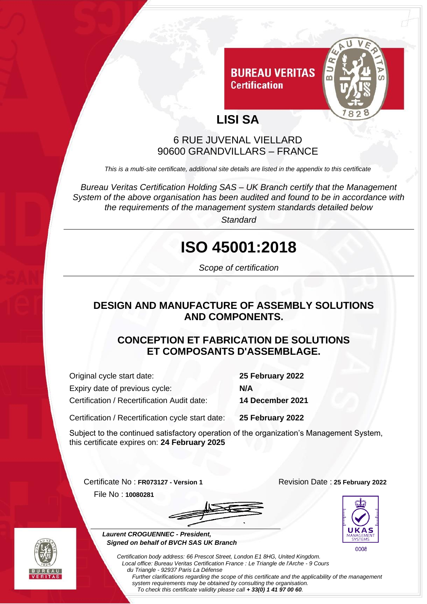

## **LISI SA**

**Certification** 

## 6 RUE JUVENAL VIELLARD 90600 GRANDVILLARS – FRANCE

*This is a multi-site certificate, additional site details are listed in the appendix to this certificate*

*Bureau Veritas Certification Holding SAS – UK Branch certify that the Management System of the above organisation has been audited and found to be in accordance with the requirements of the management system standards detailed below*

*Standard*

# **ISO 45001:2018**

*Scope of certification*

## **DESIGN AND MANUFACTURE OF ASSEMBLY SOLUTIONS AND COMPONENTS.**

### **CONCEPTION ET FABRICATION DE SOLUTIONS ET COMPOSANTS D'ASSEMBLAGE.**

Original cycle start date: **25 February 2022** Expiry date of previous cycle: **N/A** Certification / Recertification Audit date: **14 December 2021** Certification / Recertification cycle start date: **25 February 2022**

Subject to the continued satisfactory operation of the organization's Management System, this certificate expires on: **24 February 2025**

File No : **10080281**







 *Laurent CROGUENNEC - President, Signed on behalf of BVCH SAS UK Branch*

Certificate No : **FR073127 - Version 1** Revision Date : **25 February 2022**

 $0008$ 

*Certification body address: 66 Prescot Street, London E1 8HG, United Kingdom. Local office: Bureau Veritas Certification France : Le Triangle de l'Arche - 9 Cours du Triangle - 92937 Paris La Défense Further clarifications regarding the scope of this certificate and the applicability of the management system requirements may be obtained by consulting the organisation. To check this certificate validity please call + 33(0) 1 41 97 00 60.*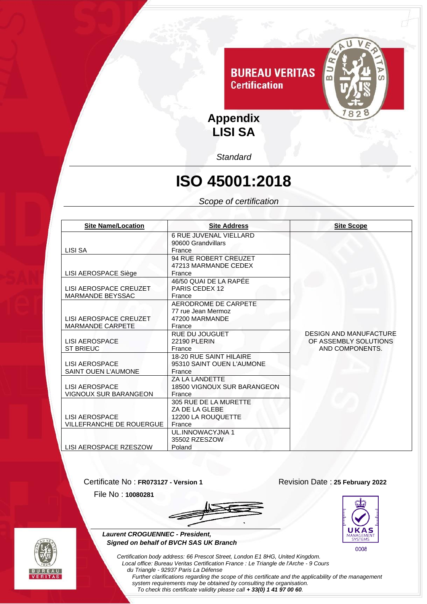

# **ISO 45001:2018**

### *Scope of certification*

| <b>Site Name/Location</b>       | <b>Site Address</b>            | <b>Site Scope</b>             |
|---------------------------------|--------------------------------|-------------------------------|
|                                 | <b>6 RUE JUVENAL VIELLARD</b>  |                               |
|                                 | 90600 Grandvillars             |                               |
| LISI SA                         | France                         |                               |
|                                 | 94 RUE ROBERT CREUZET          |                               |
|                                 | 47213 MARMANDE CEDEX           |                               |
| LISI AEROSPACE Siège            | France                         |                               |
|                                 | 46/50 QUAI DE LA RAPÉE         |                               |
| LISI AEROSPACE CREUZET          | PARIS CEDEX 12                 |                               |
| <b>MARMANDE BEYSSAC</b>         | France                         |                               |
|                                 | AERODROME DE CARPETE           |                               |
|                                 | 77 rue Jean Mermoz             |                               |
| LISI AEROSPACE CREUZET          | 47200 MARMANDE                 |                               |
| <b>MARMANDE CARPETE</b>         | France                         |                               |
|                                 | <b>RUE DU JOUGUET</b>          | <b>DESIGN AND MANUFACTURE</b> |
| <b>LISI AEROSPACE</b>           | <b>22190 PLERIN</b>            | OF ASSEMBLY SOLUTIONS         |
| <b>ST BRIEUC</b>                | France                         | AND COMPONENTS.               |
|                                 | <b>18-20 RUE SAINT HILAIRE</b> |                               |
| LISI AEROSPACE                  | 95310 SAINT OUEN L'AUMONE      |                               |
| <b>SAINT OUEN L'AUMONE</b>      | France                         |                               |
|                                 | ZA LA LANDETTE                 |                               |
| LISI AEROSPACE                  | 18500 VIGNOUX SUR BARANGEON    |                               |
| <b>VIGNOUX SUR BARANGEON</b>    | France                         |                               |
|                                 | 305 RUE DE LA MURETTE          |                               |
|                                 | ZA DE LA GLEBE                 |                               |
| LISI AEROSPACE                  | 12200 LA ROUQUETTE             |                               |
| <b>VILLEFRANCHE DE ROUERGUE</b> | France                         |                               |
|                                 | UL.INNOWACYJNA 1               |                               |
|                                 | 35502 RZESZOW                  |                               |
| LISI AEROSPACE RZESZOW          | Poland                         |                               |

Certificate No : **FR073127 - Version 1** Revision Date : **25 February 2022**

File No : **10080281**







*Certification body address: 66 Prescot Street, London E1 8HG, United Kingdom. Local office: Bureau Veritas Certification France : Le Triangle de l'Arche - 9 Cours du Triangle - 92937 Paris La Défense Further clarifications regarding the scope of this certificate and the applicability of the management* 

*system requirements may be obtained by consulting the organisation. To check this certificate validity please call + 33(0) 1 41 97 00 60.*

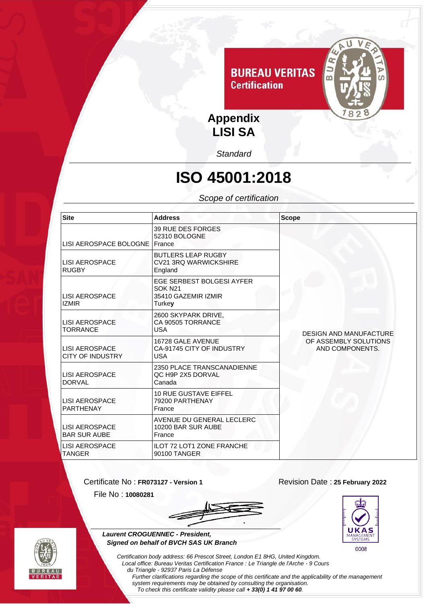

## **Appendix LISI SA**

*Standard*

## **ISO 45001:2018**

### *Scope of certification*

| <b>Site</b>                                      | <b>Address</b>                                                                   | <b>Scope</b>                             |
|--------------------------------------------------|----------------------------------------------------------------------------------|------------------------------------------|
| LISI AEROSPACE BOLOGNE                           | 39 RUE DES FORGES<br>52310 BOLOGNE<br><b>IFrance</b>                             |                                          |
| <b>LISI AEROSPACE</b><br><b>RUGBY</b>            | <b>BUTLERS LEAP RUGBY</b><br>CV21 3RQ WARWICKSHIRE<br>England                    |                                          |
| <b>LISI AEROSPACE</b><br><b>IZMIR</b>            | EGE SERBEST BOLGESI AYFER<br>SOK <sub>N21</sub><br>35410 GAZEMIR IZMIR<br>Turkey |                                          |
| <b>LISI AEROSPACE</b><br><b>TORRANCE</b>         | 2600 SKYPARK DRIVE,<br>CA 90505 TORRANCE<br><b>USA</b>                           | <b>DESIGN AND MANUFACTURE</b>            |
| <b>LISI AEROSPACE</b><br><b>CITY OF INDUSTRY</b> | 16728 GALE AVENUE<br>CA-91745 CITY OF INDUSTRY<br><b>USA</b>                     | OF ASSEMBLY SOLUTIONS<br>AND COMPONENTS. |
| <b>LISI AEROSPACE</b><br><b>DORVAL</b>           | 2350 PLACE TRANSCANADIENNE<br>QC H9P 2X5 DORVAL<br>Canada                        |                                          |
| <b>LISI AEROSPACE</b><br><b>PARTHENAY</b>        | <b>10 RUE GUSTAVE EIFFEL</b><br>79200 PARTHENAY<br>France                        |                                          |
| <b>LISI AEROSPACE</b><br><b>BAR SUR AUBE</b>     | AVENUE DU GENERAL LECLERC<br>10200 BAR SUR AUBE<br>France                        |                                          |
| <b>LISI AEROSPACE</b><br><b>TANGER</b>           | <b>ILOT 72 LOT1 ZONE FRANCHE</b><br>90100 TANGER                                 |                                          |

Certificate No : **FR073127 - Version 1** Revision Date : **25 February 2022**

File No : **10080281**



*Certification body address: 66 Prescot Street, London E1 8HG, United Kingdom.*





 *Laurent CROGUENNEC - President, Signed on behalf of BVCH SAS UK Branch*

> *Local office: Bureau Veritas Certification France : Le Triangle de l'Arche - 9 Cours du Triangle - 92937 Paris La Défense Further clarifications regarding the scope of this certificate and the applicability of the management system requirements may be obtained by consulting the organisation.*

*To check this certificate validity please call + 33(0) 1 41 97 00 60.*

0008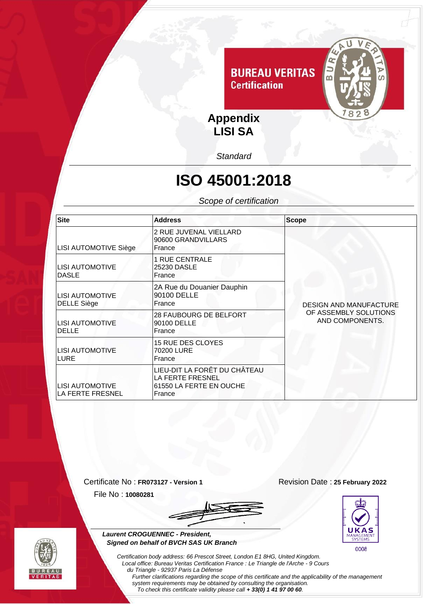

**Appendix LISI SA**

*Standard*

# **ISO 45001:2018**

### *Scope of certification*

| <b>Site</b>                                  | <b>Address</b>                                                                        | <b>Scope</b>                                                              |
|----------------------------------------------|---------------------------------------------------------------------------------------|---------------------------------------------------------------------------|
| LISI AUTOMOTIVE Siège                        | 2 RUE JUVENAL VIELLARD<br>90600 GRANDVILLARS<br>France                                | <b>DESIGN AND MANUFACTURE</b><br>OF ASSEMBLY SOLUTIONS<br>AND COMPONENTS. |
| <b>LISI AUTOMOTIVE</b><br><b>DASLE</b>       | <b>1 RUE CENTRALE</b><br>25230 DASLE<br>France                                        |                                                                           |
| <b>LISI AUTOMOTIVE</b><br><b>DELLE Siège</b> | 2A Rue du Douanier Dauphin<br>90100 DELLE<br>France                                   |                                                                           |
| <b>LISI AUTOMOTIVE</b><br><b>DELLE</b>       | <b>28 FAUBOURG DE BELFORT</b><br>90100 DELLE<br>France                                |                                                                           |
| <b>LISI AUTOMOTIVE</b><br><b>LURE</b>        | <b>15 RUE DES CLOYES</b><br>70200 LURE<br>France                                      |                                                                           |
| <b>LISI AUTOMOTIVE</b><br>LA FERTE FRESNEL   | LIEU-DIT LA FORÊT DU CHÂTEAU<br>LA FERTE FRESNEL<br>61550 LA FERTE EN OUCHE<br>France |                                                                           |

Certificate No : **FR073127 - Version 1** Revision Date : **25 February 2022** File No : **10080281**

 *Laurent CROGUENNEC - President,*

*Signed on behalf of BVCH SAS UK Branch*





*Certification body address: 66 Prescot Street, London E1 8HG, United Kingdom. Local office: Bureau Veritas Certification France : Le Triangle de l'Arche - 9 Cours du Triangle - 92937 Paris La Défense Further clarifications regarding the scope of this certificate and the applicability of the management* 

*system requirements may be obtained by consulting the organisation. To check this certificate validity please call + 33(0) 1 41 97 00 60.*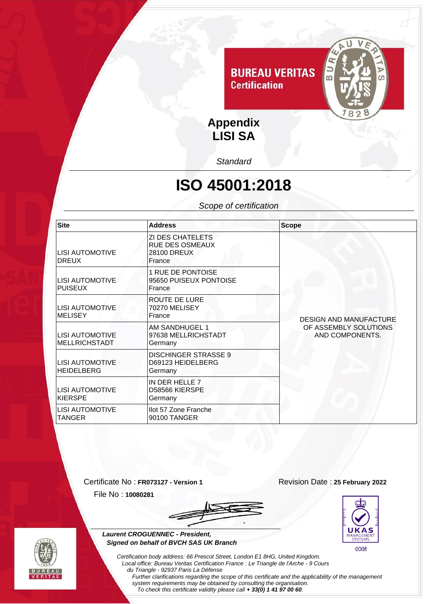

# **ISO 45001:2018**

*Scope of certification*

| <b>Site</b>                                    | <b>Address</b>                                                      | <b>Scope</b>                                                              |
|------------------------------------------------|---------------------------------------------------------------------|---------------------------------------------------------------------------|
| <b>LISI AUTOMOTIVE</b><br><b>DREUX</b>         | ZI DES CHATELETS<br><b>RUE DES OSMEAUX</b><br>28100 DREUX<br>France | <b>DESIGN AND MANUFACTURE</b><br>OF ASSEMBLY SOLUTIONS<br>AND COMPONENTS. |
| <b>LISI AUTOMOTIVE</b><br><b>PUISEUX</b>       | 1 RUE DE PONTOISE<br>95650 PUISEUX PONTOISE<br>France               |                                                                           |
| <b>LISI AUTOMOTIVE</b><br><b>MELISEY</b>       | ROUTE DE LURE<br>70270 MELISEY<br>France                            |                                                                           |
| <b>LISI AUTOMOTIVE</b><br><b>MELLRICHSTADT</b> | AM SANDHUGEL 1<br>97638 MELLRICHSTADT<br>Germany                    |                                                                           |
| <b>LISI AUTOMOTIVE</b><br><b>HEIDELBERG</b>    | <b>DISCHINGER STRASSE 9</b><br>D69123 HEIDELBERG<br>Germany         |                                                                           |
| <b>LISI AUTOMOTIVE</b><br><b>KIERSPE</b>       | IN DER HELLE 7<br>D58566 KIERSPE<br>Germany                         |                                                                           |
| <b>LISI AUTOMOTIVE</b><br><b>TANGER</b>        | Ilot 57 Zone Franche<br>90100 TANGER                                |                                                                           |

Certificate No : **FR073127 - Version 1** Revision Date : **25 February 2022** File No : **10080281**

 *Laurent CROGUENNEC - President,*

*Signed on behalf of BVCH SAS UK Branch*





*Certification body address: 66 Prescot Street, London E1 8HG, United Kingdom. Local office: Bureau Veritas Certification France : Le Triangle de l'Arche - 9 Cours du Triangle - 92937 Paris La Défense Further clarifications regarding the scope of this certificate and the applicability of the management system requirements may be obtained by consulting the organisation.* 

*To check this certificate validity please call + 33(0) 1 41 97 00 60.*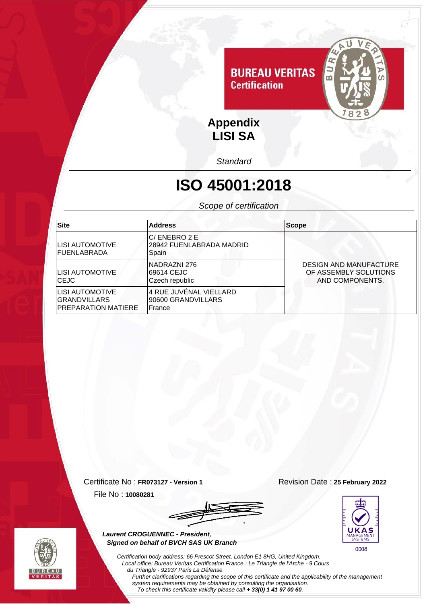

# **ISO 45001:2018**

*Scope of certification*

| <b>Site</b>                                                     | <b>Address</b>                                         | <b>Scope</b>                                                              |
|-----------------------------------------------------------------|--------------------------------------------------------|---------------------------------------------------------------------------|
| ILISI AUTOMOTIVE<br>IFUENLABRADA                                | C/ENEBRO 2 E<br>28942 FUENLABRADA MADRID<br>Spain      |                                                                           |
| ILISI AUTOMOTIVE<br><b>CEJC</b>                                 | NADRAZNI 276<br>69614 CEJC<br>Czech republic           | <b>DESIGN AND MANUFACTURE</b><br>OF ASSEMBLY SOLUTIONS<br>AND COMPONENTS. |
| ILISI AUTOMOTIVE<br>IGRANDVILLARS<br><b>PREPARATION MATIERE</b> | 4 RUE JUVENAL VIELLARD<br>90600 GRANDVILLARS<br>France |                                                                           |

Certificate No : **FR073127 - Version 1** Revision Date : **25 February 2022** File No : **10080281**









*Certification body address: 66 Prescot Street, London E1 8HG, United Kingdom. Local office: Bureau Veritas Certification France : Le Triangle de l'Arche - 9 Cours du Triangle - 92937 Paris La Défense Further clarifications regarding the scope of this certificate and the applicability of the management system requirements may be obtained by consulting the organisation. To check this certificate validity please call + 33(0) 1 41 97 00 60.*